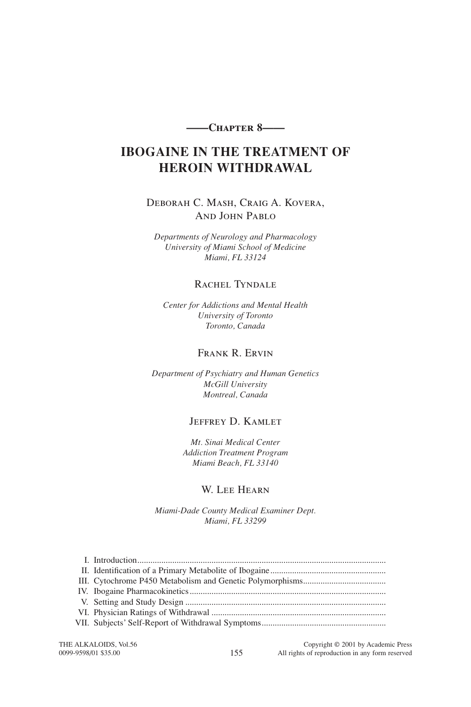# **——Chapter 8——**

# **IBOGAINE IN THE TREATMENT OF HEROIN WITHDRAWAL**

# Deborah C. Mash, Craig A. Kovera, And John Pablo

*Departments of Neurology and Pharmacology University of Miami School of Medicine Miami, FL 33124*

### RACHEL TYNDALE

*Center for Addictions and Mental Health University of Toronto Toronto, Canada*

# Frank R. Ervin

*Department of Psychiatry and Human Genetics McGill University Montreal, Canada*

# Jeffrey D. Kamlet

*Mt. Sinai Medical Center Addiction Treatment Program Miami Beach, FL 33140*

# W. Lee Hearn

*Miami-Dade County Medical Examiner Dept. Miami, FL 33299*

THE ALKALOIDS, Vol.56 Copyright © 2001 by Academic Press<br>
0099-9598/01 \$35.00 Copyright © 2001 by Academic Press<br>
155 All rights of reproduction in any form reserved All rights of reproduction in any form reserved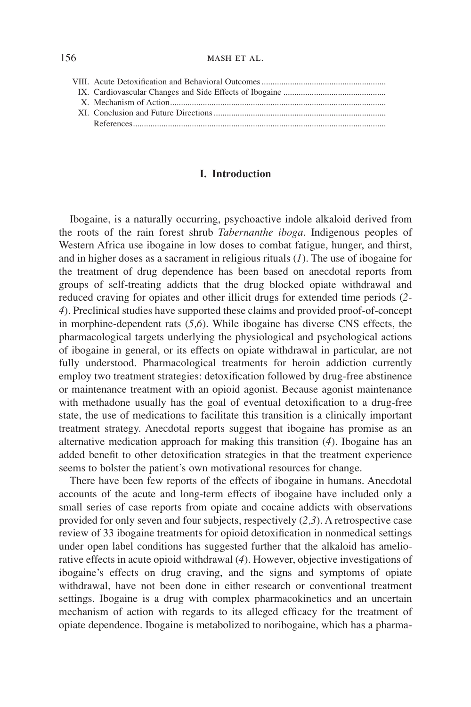#### **I. Introduction**

Ibogaine, is a naturally occurring, psychoactive indole alkaloid derived from the roots of the rain forest shrub *Tabernanthe iboga*. Indigenous peoples of Western Africa use ibogaine in low doses to combat fatigue, hunger, and thirst, and in higher doses as a sacrament in religious rituals (*1*). The use of ibogaine for the treatment of drug dependence has been based on anecdotal reports from groups of self-treating addicts that the drug blocked opiate withdrawal and reduced craving for opiates and other illicit drugs for extended time periods (*2- 4*). Preclinical studies have supported these claims and provided proof-of-concept in morphine-dependent rats (*5,6*). While ibogaine has diverse CNS effects, the pharmacological targets underlying the physiological and psychological actions of ibogaine in general, or its effects on opiate withdrawal in particular, are not fully understood. Pharmacological treatments for heroin addiction currently employ two treatment strategies: detoxification followed by drug-free abstinence or maintenance treatment with an opioid agonist. Because agonist maintenance with methadone usually has the goal of eventual detoxification to a drug-free state, the use of medications to facilitate this transition is a clinically important treatment strategy. Anecdotal reports suggest that ibogaine has promise as an alternative medication approach for making this transition (*4*). Ibogaine has an added benefit to other detoxification strategies in that the treatment experience seems to bolster the patient's own motivational resources for change.

There have been few reports of the effects of ibogaine in humans. Anecdotal accounts of the acute and long-term effects of ibogaine have included only a small series of case reports from opiate and cocaine addicts with observations provided for only seven and four subjects, respectively (*2,3*). A retrospective case review of 33 ibogaine treatments for opioid detoxification in nonmedical settings under open label conditions has suggested further that the alkaloid has ameliorative effects in acute opioid withdrawal (*4*). However, objective investigations of ibogaine's effects on drug craving, and the signs and symptoms of opiate withdrawal, have not been done in either research or conventional treatment settings. Ibogaine is a drug with complex pharmacokinetics and an uncertain mechanism of action with regards to its alleged efficacy for the treatment of opiate dependence. Ibogaine is metabolized to noribogaine, which has a pharma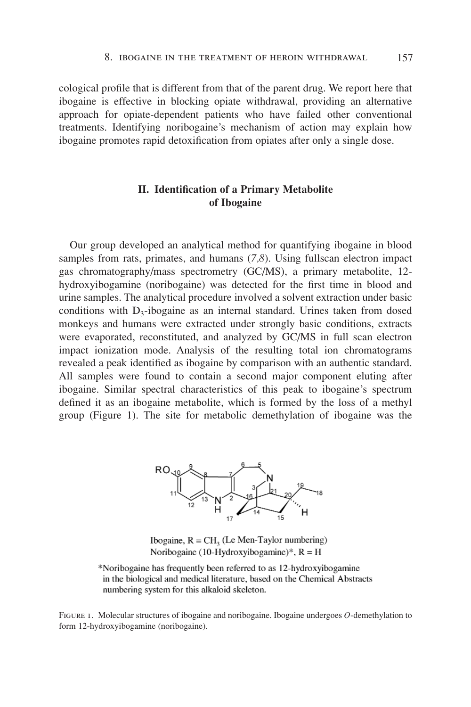cological profile that is different from that of the parent drug. We report here that ibogaine is effective in blocking opiate withdrawal, providing an alternative approach for opiate-dependent patients who have failed other conventional treatments. Identifying noribogaine's mechanism of action may explain how ibogaine promotes rapid detoxification from opiates after only a single dose.

# **II. Identification of a Primary Metabolite of Ibogaine**

Our group developed an analytical method for quantifying ibogaine in blood samples from rats, primates, and humans (*7,8*). Using fullscan electron impact gas chromatography/mass spectrometry (GC/MS), a primary metabolite, 12 hydroxyibogamine (noribogaine) was detected for the first time in blood and urine samples. The analytical procedure involved a solvent extraction under basic conditions with  $D_3$ -ibogaine as an internal standard. Urines taken from dosed monkeys and humans were extracted under strongly basic conditions, extracts were evaporated, reconstituted, and analyzed by GC/MS in full scan electron impact ionization mode. Analysis of the resulting total ion chromatograms revealed a peak identified as ibogaine by comparison with an authentic standard. All samples were found to contain a second major component eluting after ibogaine. Similar spectral characteristics of this peak to ibogaine's spectrum defined it as an ibogaine metabolite, which is formed by the loss of a methyl group (Figure 1). The site for metabolic demethylation of ibogaine was the



Ibogaine,  $R = CH$ , (Le Men-Taylor numbering) Noribogaine (10-Hydroxyibogamine)\*,  $R = H$ 

\*Noribogaine has frequently been referred to as 12-hydroxyibogamine in the biological and medical literature, based on the Chemical Abstracts numbering system for this alkaloid skeleton.

Figure 1. Molecular structures of ibogaine and noribogaine. Ibogaine undergoes *O*-demethylation to form 12-hydroxyibogamine (noribogaine).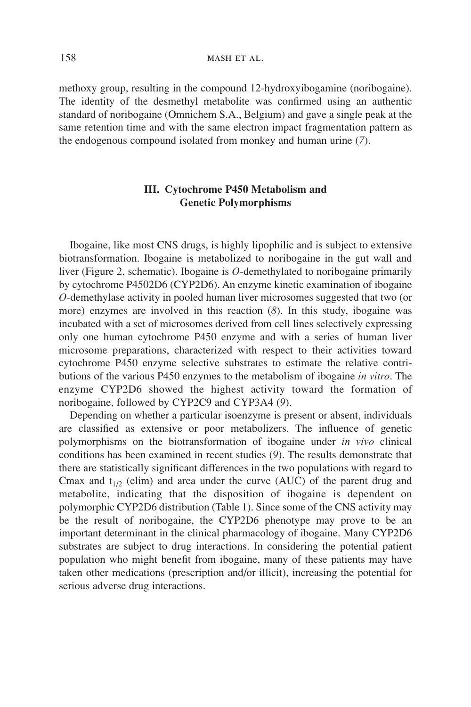methoxy group, resulting in the compound 12-hydroxyibogamine (noribogaine). The identity of the desmethyl metabolite was confirmed using an authentic standard of noribogaine (Omnichem S.A., Belgium) and gave a single peak at the same retention time and with the same electron impact fragmentation pattern as the endogenous compound isolated from monkey and human urine (*7*).

# **III. Cytochrome P450 Metabolism and Genetic Polymorphisms**

Ibogaine, like most CNS drugs, is highly lipophilic and is subject to extensive biotransformation. Ibogaine is metabolized to noribogaine in the gut wall and liver (Figure 2, schematic). Ibogaine is *O*-demethylated to noribogaine primarily by cytochrome P4502D6 (CYP2D6). An enzyme kinetic examination of ibogaine *O*-demethylase activity in pooled human liver microsomes suggested that two (or more) enzymes are involved in this reaction (*8*). In this study, ibogaine was incubated with a set of microsomes derived from cell lines selectively expressing only one human cytochrome P450 enzyme and with a series of human liver microsome preparations, characterized with respect to their activities toward cytochrome P450 enzyme selective substrates to estimate the relative contributions of the various P450 enzymes to the metabolism of ibogaine *in vitro*. The enzyme CYP2D6 showed the highest activity toward the formation of noribogaine, followed by CYP2C9 and CYP3A4 (*9*).

Depending on whether a particular isoenzyme is present or absent, individuals are classified as extensive or poor metabolizers. The influence of genetic polymorphisms on the biotransformation of ibogaine under *in vivo* clinical conditions has been examined in recent studies (*9*). The results demonstrate that there are statistically significant differences in the two populations with regard to Cmax and  $t_{1/2}$  (elim) and area under the curve (AUC) of the parent drug and metabolite, indicating that the disposition of ibogaine is dependent on polymorphic CYP2D6 distribution (Table 1). Since some of the CNS activity may be the result of noribogaine, the CYP2D6 phenotype may prove to be an important determinant in the clinical pharmacology of ibogaine. Many CYP2D6 substrates are subject to drug interactions. In considering the potential patient population who might benefit from ibogaine, many of these patients may have taken other medications (prescription and/or illicit), increasing the potential for serious adverse drug interactions.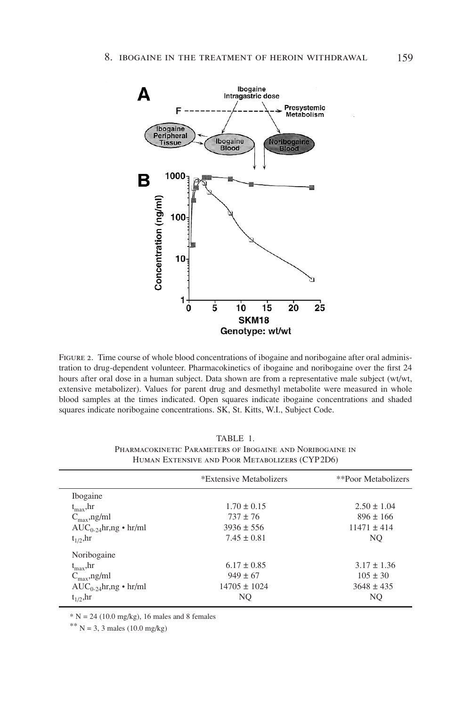

FIGURE 2. Time course of whole blood concentrations of ibogaine and noribogaine after oral administration to drug-dependent volunteer. Pharmacokinetics of ibogaine and noribogaine over the first 24 hours after oral dose in a human subject. Data shown are from a representative male subject (wt/wt, extensive metabolizer). Values for parent drug and desmethyl metabolite were measured in whole blood samples at the times indicated. Open squares indicate ibogaine concentrations and shaded squares indicate noribogaine concentrations. SK, St. Kitts, W.I., Subject Code.

|                            | *Extensive Metabolizers | **Poor Metabolizers |
|----------------------------|-------------------------|---------------------|
| Ibogaine                   |                         |                     |
| $t_{\rm max}$ , hr         | $1.70 \pm 0.15$         | $2.50 \pm 1.04$     |
| $C_{\rm max}$ , ng/ml      | $737 \pm 76$            | $896 \pm 166$       |
| $AUC_{0.24}$ hr,ng • hr/ml | $3936 \pm 556$          | $11471 \pm 414$     |
| $t_{1/2}$ , hr             | $7.45 \pm 0.81$         | NQ                  |
| Noribogaine                |                         |                     |
| $t_{\rm max}$ , hr         | $6.17 \pm 0.85$         | $3.17 \pm 1.36$     |
| $C_{\rm max}$ , ng/ml      | $949 \pm 67$            | $105 \pm 30$        |
| $AUC_{0.24}$ hr,ng • hr/ml | $14705 \pm 1024$        | $3648 \pm 435$      |
| $t_{1/2}$ , hr             | NO                      | N <sub>O</sub>      |
|                            |                         |                     |

TABLE 1. Pharmacokinetic Parameters of Ibogaine and Noribogaine in Human Extensive and Poor Metabolizers (CYP2D6)

 $* N = 24 (10.0$  mg/kg), 16 males and 8 females

\*\*  $N = 3$ , 3 males (10.0 mg/kg)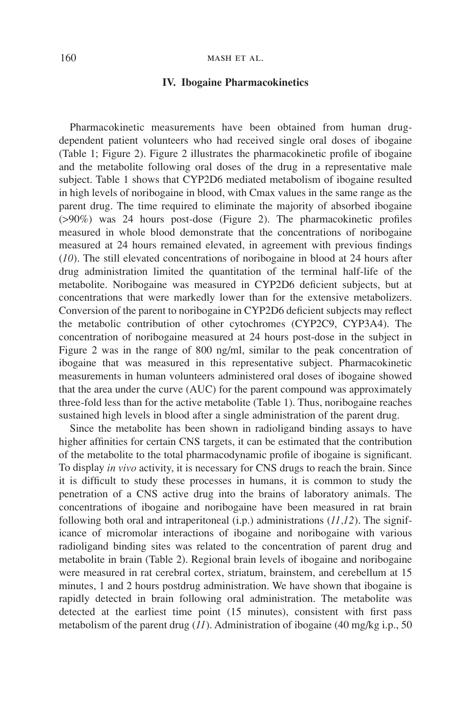#### **IV. Ibogaine Pharmacokinetics**

Pharmacokinetic measurements have been obtained from human drugdependent patient volunteers who had received single oral doses of ibogaine (Table 1; Figure 2). Figure 2 illustrates the pharmacokinetic profile of ibogaine and the metabolite following oral doses of the drug in a representative male subject. Table 1 shows that CYP2D6 mediated metabolism of ibogaine resulted in high levels of noribogaine in blood, with Cmax values in the same range as the parent drug. The time required to eliminate the majority of absorbed ibogaine (>90%) was 24 hours post-dose (Figure 2). The pharmacokinetic profiles measured in whole blood demonstrate that the concentrations of noribogaine measured at 24 hours remained elevated, in agreement with previous findings (*10*). The still elevated concentrations of noribogaine in blood at 24 hours after drug administration limited the quantitation of the terminal half-life of the metabolite. Noribogaine was measured in CYP2D6 deficient subjects, but at concentrations that were markedly lower than for the extensive metabolizers. Conversion of the parent to noribogaine in CYP2D6 deficient subjects may reflect the metabolic contribution of other cytochromes (CYP2C9, CYP3A4). The concentration of noribogaine measured at 24 hours post-dose in the subject in Figure 2 was in the range of 800 ng/ml, similar to the peak concentration of ibogaine that was measured in this representative subject. Pharmacokinetic measurements in human volunteers administered oral doses of ibogaine showed that the area under the curve (AUC) for the parent compound was approximately three-fold less than for the active metabolite (Table 1). Thus, noribogaine reaches sustained high levels in blood after a single administration of the parent drug.

Since the metabolite has been shown in radioligand binding assays to have higher affinities for certain CNS targets, it can be estimated that the contribution of the metabolite to the total pharmacodynamic profile of ibogaine is significant. To display *in vivo* activity, it is necessary for CNS drugs to reach the brain. Since it is difficult to study these processes in humans, it is common to study the penetration of a CNS active drug into the brains of laboratory animals. The concentrations of ibogaine and noribogaine have been measured in rat brain following both oral and intraperitoneal (i.p.) administrations (*11,12*). The significance of micromolar interactions of ibogaine and noribogaine with various radioligand binding sites was related to the concentration of parent drug and metabolite in brain (Table 2). Regional brain levels of ibogaine and noribogaine were measured in rat cerebral cortex, striatum, brainstem, and cerebellum at 15 minutes, 1 and 2 hours postdrug administration. We have shown that ibogaine is rapidly detected in brain following oral administration. The metabolite was detected at the earliest time point (15 minutes), consistent with first pass metabolism of the parent drug (*11*). Administration of ibogaine (40 mg/kg i.p., 50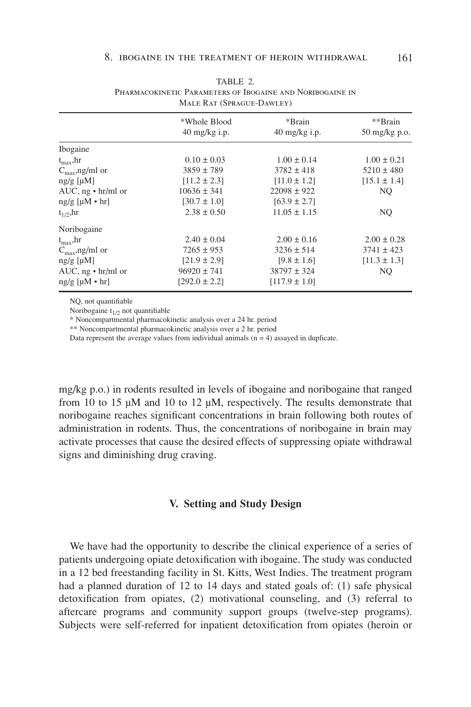|                          | *Whole Blood            | *Brain                  | **Brain          |
|--------------------------|-------------------------|-------------------------|------------------|
|                          | $40 \text{ mg/kg}$ i.p. | $40 \text{ mg/kg}$ i.p. | 50 mg/kg p.o.    |
| <b>Ibogaine</b>          |                         |                         |                  |
| $t_{\rm max}$ , hr       | $0.10 \pm 0.03$         | $1.00 \pm 0.14$         | $1.00 \pm 0.21$  |
| $C_{\rm max}$ , ng/ml or | $3859 \pm 789$          | $3782 \pm 418$          | $5210 \pm 480$   |
| $ng/g$ [µM]              | $[11.2 \pm 2.3]$        | $[11.0 \pm 1.2]$        | $[15.1 \pm 1.4]$ |
| AUC, $ng \cdot hr/ml$ or | $10636 \pm 341$         | $22098 \pm 922$         | NQ.              |
| $ng/g$ [µM $\cdot$ hr]   | $[30.7 \pm 1.0]$        | $[63.9 \pm 2.7]$        |                  |
| $t_{1/2}$ , hr           | $2.38 \pm 0.50$         | $11.05 \pm 1.15$        | NQ.              |
| Noribogaine              |                         |                         |                  |
| $t_{\rm max}$ , hr       | $2.40 \pm 0.04$         | $2.00 \pm 0.16$         | $2.00 \pm 0.28$  |
| $C_{\rm max}$ , ng/ml or | $7265 \pm 953$          | $3236 \pm 514$          | $3741 \pm 423$   |
| $ng/g$ [µM]              | $[21.9 \pm 2.9]$        | $[9.8 \pm 1.6]$         | $[11.3 \pm 1.3]$ |
| AUC, $ng \cdot hr/ml$ or | $96920 \pm 741$         | $38797 \pm 324$         | N <sub>O</sub>   |
| $ng/g$ [µM $\cdot$ hr]   | $[292.0 \pm 2.2]$       | $[117.9 \pm 1.0]$       |                  |

TABLE 2. Pharmacokinetic Parameters of Ibogaine and Noribogaine in Male Rat (Sprague-Dawley)

NQ, not quantifiable

Noribogaine  $t_{1/2}$  not quantifiable

\* Noncompartmental pharmacokinetic analysis over a 24 hr. period

\*\* Noncompartmental pharmacokinetic analysis over a 2 hr. period

Data represent the average values from individual animals  $(n = 4)$  assayed in duplicate.

mg/kg p.o.) in rodents resulted in levels of ibogaine and noribogaine that ranged from 10 to 15 µM and 10 to 12 µM, respectively. The results demonstrate that noribogaine reaches significant concentrations in brain following both routes of administration in rodents. Thus, the concentrations of noribogaine in brain may activate processes that cause the desired effects of suppressing opiate withdrawal signs and diminishing drug craving.

#### **V. Setting and Study Design**

We have had the opportunity to describe the clinical experience of a series of patients undergoing opiate detoxification with ibogaine. The study was conducted in a 12 bed freestanding facility in St. Kitts, West Indies. The treatment program had a planned duration of 12 to 14 days and stated goals of: (1) safe physical detoxification from opiates, (2) motivational counseling, and (3) referral to aftercare programs and community support groups (twelve-step programs). Subjects were self-referred for inpatient detoxification from opiates (heroin or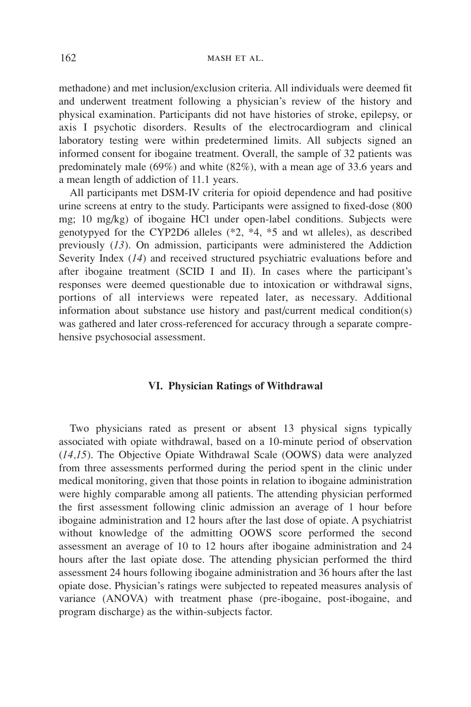methadone) and met inclusion/exclusion criteria. All individuals were deemed fit and underwent treatment following a physician's review of the history and physical examination. Participants did not have histories of stroke, epilepsy, or axis I psychotic disorders. Results of the electrocardiogram and clinical laboratory testing were within predetermined limits. All subjects signed an informed consent for ibogaine treatment. Overall, the sample of 32 patients was predominately male (69%) and white (82%), with a mean age of 33.6 years and a mean length of addiction of 11.1 years.

All participants met DSM-IV criteria for opioid dependence and had positive urine screens at entry to the study. Participants were assigned to fixed-dose (800 mg; 10 mg/kg) of ibogaine HCl under open-label conditions. Subjects were genotypyed for the CYP2D6 alleles (\*2, \*4, \*5 and wt alleles), as described previously (*13*). On admission, participants were administered the Addiction Severity Index (*14*) and received structured psychiatric evaluations before and after ibogaine treatment (SCID I and II). In cases where the participant's responses were deemed questionable due to intoxication or withdrawal signs, portions of all interviews were repeated later, as necessary. Additional information about substance use history and past/current medical condition(s) was gathered and later cross-referenced for accuracy through a separate comprehensive psychosocial assessment.

### **VI. Physician Ratings of Withdrawal**

Two physicians rated as present or absent 13 physical signs typically associated with opiate withdrawal, based on a 10-minute period of observation (*14,15*). The Objective Opiate Withdrawal Scale (OOWS) data were analyzed from three assessments performed during the period spent in the clinic under medical monitoring, given that those points in relation to ibogaine administration were highly comparable among all patients. The attending physician performed the first assessment following clinic admission an average of 1 hour before ibogaine administration and 12 hours after the last dose of opiate. A psychiatrist without knowledge of the admitting OOWS score performed the second assessment an average of 10 to 12 hours after ibogaine administration and 24 hours after the last opiate dose. The attending physician performed the third assessment 24 hours following ibogaine administration and 36 hours after the last opiate dose. Physician's ratings were subjected to repeated measures analysis of variance (ANOVA) with treatment phase (pre-ibogaine, post-ibogaine, and program discharge) as the within-subjects factor.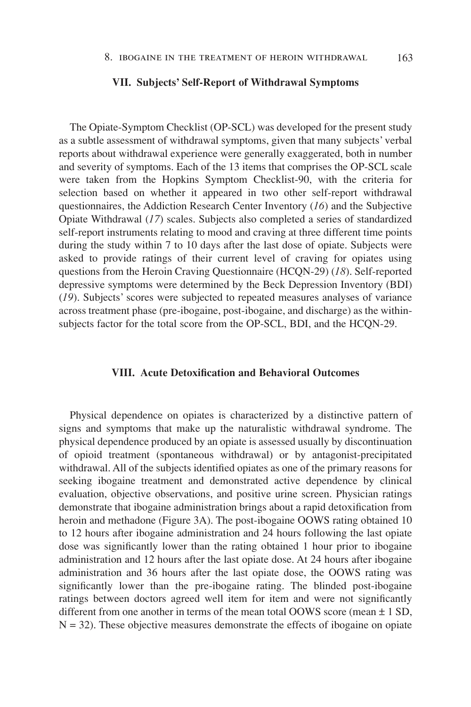### **VII. Subjects' Self-Report of Withdrawal Symptoms**

The Opiate-Symptom Checklist (OP-SCL) was developed for the present study as a subtle assessment of withdrawal symptoms, given that many subjects' verbal reports about withdrawal experience were generally exaggerated, both in number and severity of symptoms. Each of the 13 items that comprises the OP-SCL scale were taken from the Hopkins Symptom Checklist-90, with the criteria for selection based on whether it appeared in two other self-report withdrawal questionnaires, the Addiction Research Center Inventory (*16*) and the Subjective Opiate Withdrawal (*17*) scales. Subjects also completed a series of standardized self-report instruments relating to mood and craving at three different time points during the study within 7 to 10 days after the last dose of opiate. Subjects were asked to provide ratings of their current level of craving for opiates using questions from the Heroin Craving Questionnaire (HCQN-29) (*18*). Self-reported depressive symptoms were determined by the Beck Depression Inventory (BDI) (*19*). Subjects' scores were subjected to repeated measures analyses of variance across treatment phase (pre-ibogaine, post-ibogaine, and discharge) as the withinsubjects factor for the total score from the OP-SCL, BDI, and the HCQN-29.

### **VIII. Acute Detoxification and Behavioral Outcomes**

Physical dependence on opiates is characterized by a distinctive pattern of signs and symptoms that make up the naturalistic withdrawal syndrome. The physical dependence produced by an opiate is assessed usually by discontinuation of opioid treatment (spontaneous withdrawal) or by antagonist-precipitated withdrawal. All of the subjects identified opiates as one of the primary reasons for seeking ibogaine treatment and demonstrated active dependence by clinical evaluation, objective observations, and positive urine screen. Physician ratings demonstrate that ibogaine administration brings about a rapid detoxification from heroin and methadone (Figure 3A). The post-ibogaine OOWS rating obtained 10 to 12 hours after ibogaine administration and 24 hours following the last opiate dose was significantly lower than the rating obtained 1 hour prior to ibogaine administration and 12 hours after the last opiate dose. At 24 hours after ibogaine administration and 36 hours after the last opiate dose, the OOWS rating was significantly lower than the pre-ibogaine rating. The blinded post-ibogaine ratings between doctors agreed well item for item and were not significantly different from one another in terms of the mean total OOWS score (mean  $\pm$  1 SD,  $N = 32$ ). These objective measures demonstrate the effects of ibogaine on opiate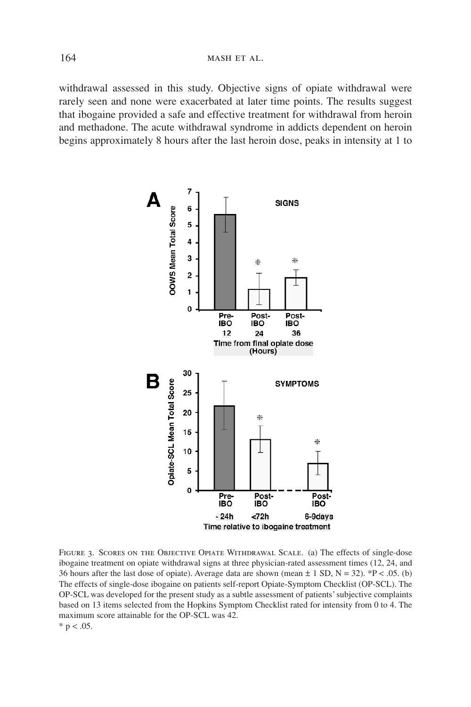withdrawal assessed in this study. Objective signs of opiate withdrawal were rarely seen and none were exacerbated at later time points. The results suggest that ibogaine provided a safe and effective treatment for withdrawal from heroin and methadone. The acute withdrawal syndrome in addicts dependent on heroin begins approximately 8 hours after the last heroin dose, peaks in intensity at 1 to



FIGURE 3. SCORES ON THE OBJECTIVE OPIATE WITHDRAWAL SCALE. (a) The effects of single-dose ibogaine treatment on opiate withdrawal signs at three physician-rated assessment times (12, 24, and 36 hours after the last dose of opiate). Average data are shown (mean  $\pm$  1 SD, N = 32). \*P < .05. (b) The effects of single-dose ibogaine on patients self-report Opiate-Symptom Checklist (OP-SCL). The OP-SCL was developed for the present study as a subtle assessment of patients'subjective complaints based on 13 items selected from the Hopkins Symptom Checklist rated for intensity from 0 to 4. The maximum score attainable for the OP-SCL was 42.  $*$  p < .05.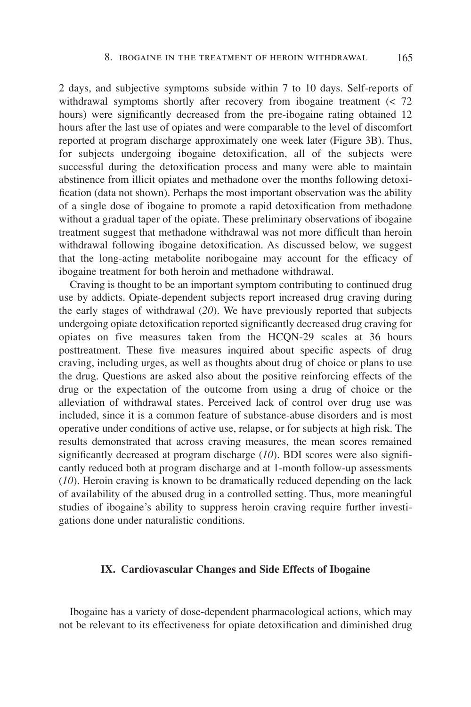2 days, and subjective symptoms subside within 7 to 10 days. Self-reports of withdrawal symptoms shortly after recovery from ibogaine treatment (< 72 hours) were significantly decreased from the pre-ibogaine rating obtained 12 hours after the last use of opiates and were comparable to the level of discomfort reported at program discharge approximately one week later (Figure 3B). Thus, for subjects undergoing ibogaine detoxification, all of the subjects were successful during the detoxification process and many were able to maintain abstinence from illicit opiates and methadone over the months following detoxification (data not shown). Perhaps the most important observation was the ability of a single dose of ibogaine to promote a rapid detoxification from methadone without a gradual taper of the opiate. These preliminary observations of ibogaine treatment suggest that methadone withdrawal was not more difficult than heroin withdrawal following ibogaine detoxification. As discussed below, we suggest that the long-acting metabolite noribogaine may account for the efficacy of ibogaine treatment for both heroin and methadone withdrawal.

Craving is thought to be an important symptom contributing to continued drug use by addicts. Opiate-dependent subjects report increased drug craving during the early stages of withdrawal (*20*). We have previously reported that subjects undergoing opiate detoxification reported significantly decreased drug craving for opiates on five measures taken from the HCQN-29 scales at 36 hours posttreatment. These five measures inquired about specific aspects of drug craving, including urges, as well as thoughts about drug of choice or plans to use the drug. Questions are asked also about the positive reinforcing effects of the drug or the expectation of the outcome from using a drug of choice or the alleviation of withdrawal states. Perceived lack of control over drug use was included, since it is a common feature of substance-abuse disorders and is most operative under conditions of active use, relapse, or for subjects at high risk. The results demonstrated that across craving measures, the mean scores remained significantly decreased at program discharge (*10*). BDI scores were also significantly reduced both at program discharge and at 1-month follow-up assessments (*10*). Heroin craving is known to be dramatically reduced depending on the lack of availability of the abused drug in a controlled setting. Thus, more meaningful studies of ibogaine's ability to suppress heroin craving require further investigations done under naturalistic conditions.

#### **IX. Cardiovascular Changes and Side Effects of Ibogaine**

Ibogaine has a variety of dose-dependent pharmacological actions, which may not be relevant to its effectiveness for opiate detoxification and diminished drug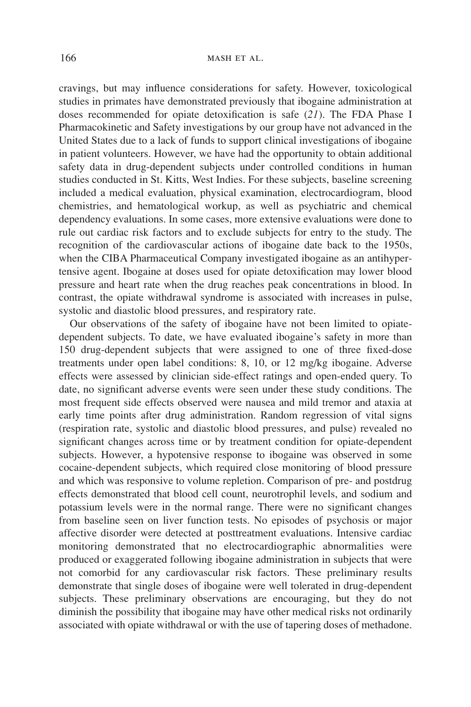cravings, but may influence considerations for safety. However, toxicological studies in primates have demonstrated previously that ibogaine administration at doses recommended for opiate detoxification is safe (*21*). The FDA Phase I Pharmacokinetic and Safety investigations by our group have not advanced in the United States due to a lack of funds to support clinical investigations of ibogaine in patient volunteers. However, we have had the opportunity to obtain additional safety data in drug-dependent subjects under controlled conditions in human studies conducted in St. Kitts, West Indies. For these subjects, baseline screening included a medical evaluation, physical examination, electrocardiogram, blood chemistries, and hematological workup, as well as psychiatric and chemical dependency evaluations. In some cases, more extensive evaluations were done to rule out cardiac risk factors and to exclude subjects for entry to the study. The recognition of the cardiovascular actions of ibogaine date back to the 1950s, when the CIBA Pharmaceutical Company investigated ibogaine as an antihypertensive agent. Ibogaine at doses used for opiate detoxification may lower blood pressure and heart rate when the drug reaches peak concentrations in blood. In contrast, the opiate withdrawal syndrome is associated with increases in pulse, systolic and diastolic blood pressures, and respiratory rate.

Our observations of the safety of ibogaine have not been limited to opiatedependent subjects. To date, we have evaluated ibogaine's safety in more than 150 drug-dependent subjects that were assigned to one of three fixed-dose treatments under open label conditions: 8, 10, or 12 mg/kg ibogaine. Adverse effects were assessed by clinician side-effect ratings and open-ended query. To date, no significant adverse events were seen under these study conditions. The most frequent side effects observed were nausea and mild tremor and ataxia at early time points after drug administration. Random regression of vital signs (respiration rate, systolic and diastolic blood pressures, and pulse) revealed no significant changes across time or by treatment condition for opiate-dependent subjects. However, a hypotensive response to ibogaine was observed in some cocaine-dependent subjects, which required close monitoring of blood pressure and which was responsive to volume repletion. Comparison of pre- and postdrug effects demonstrated that blood cell count, neurotrophil levels, and sodium and potassium levels were in the normal range. There were no significant changes from baseline seen on liver function tests. No episodes of psychosis or major affective disorder were detected at posttreatment evaluations. Intensive cardiac monitoring demonstrated that no electrocardiographic abnormalities were produced or exaggerated following ibogaine administration in subjects that were not comorbid for any cardiovascular risk factors. These preliminary results demonstrate that single doses of ibogaine were well tolerated in drug-dependent subjects. These preliminary observations are encouraging, but they do not diminish the possibility that ibogaine may have other medical risks not ordinarily associated with opiate withdrawal or with the use of tapering doses of methadone.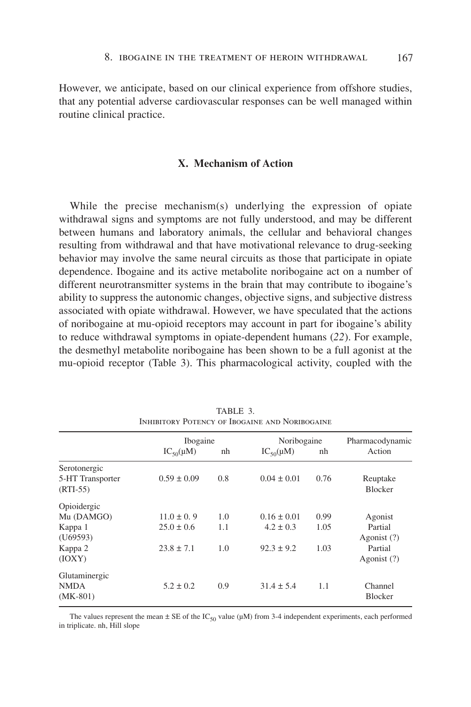However, we anticipate, based on our clinical experience from offshore studies, that any potential adverse cardiovascular responses can be well managed within routine clinical practice.

# **X. Mechanism of Action**

While the precise mechanism(s) underlying the expression of opiate withdrawal signs and symptoms are not fully understood, and may be different between humans and laboratory animals, the cellular and behavioral changes resulting from withdrawal and that have motivational relevance to drug-seeking behavior may involve the same neural circuits as those that participate in opiate dependence. Ibogaine and its active metabolite noribogaine act on a number of different neurotransmitter systems in the brain that may contribute to ibogaine's ability to suppress the autonomic changes, objective signs, and subjective distress associated with opiate withdrawal. However, we have speculated that the actions of noribogaine at mu-opioid receptors may account in part for ibogaine's ability to reduce withdrawal symptoms in opiate-dependent humans (*22*). For example, the desmethyl metabolite noribogaine has been shown to be a full agonist at the mu-opioid receptor (Table 3). This pharmacological activity, coupled with the

|                                                  | Ibogaine                         |                      | Noribogaine                      |              | Pharmacodynamic                   |
|--------------------------------------------------|----------------------------------|----------------------|----------------------------------|--------------|-----------------------------------|
|                                                  | $IC_{50}(\mu M)$                 | nh                   | $IC_{50}(\mu M)$                 | nh           | Action                            |
| Serotonergic<br>5-HT Transporter<br>$(RTI-55)$   | $0.59 \pm 0.09$                  | 0.8                  | $0.04 \pm 0.01$                  | 0.76         | Reuptake<br>Blocker               |
| Opioidergic<br>Mu (DAMGO)<br>Kappa 1<br>(U69593) | $11.0 \pm 0.9$<br>$25.0 \pm 0.6$ | $1.0^{\circ}$<br>1.1 | $0.16 \pm 0.01$<br>$4.2 \pm 0.3$ | 0.99<br>1.05 | Agonist<br>Partial<br>Agonist (?) |
| Kappa 2<br>(IOXY)                                | $23.8 \pm 7.1$                   | 1.0                  | $92.3 \pm 9.2$                   | 1.03         | Partial<br>Agonist (?)            |
| Glutaminergic<br><b>NMDA</b><br>$(MK-801)$       | $5.2 \pm 0.2$                    | 0.9                  | $31.4 \pm 5.4$                   | 1.1          | Channel<br>Blocker                |

TABLE 3. Inhibitory Potency of Ibogaine and Noribogaine

The values represent the mean  $\pm$  SE of the IC<sub>50</sub> value ( $\mu$ M) from 3-4 independent experiments, each performed in triplicate. nh, Hill slope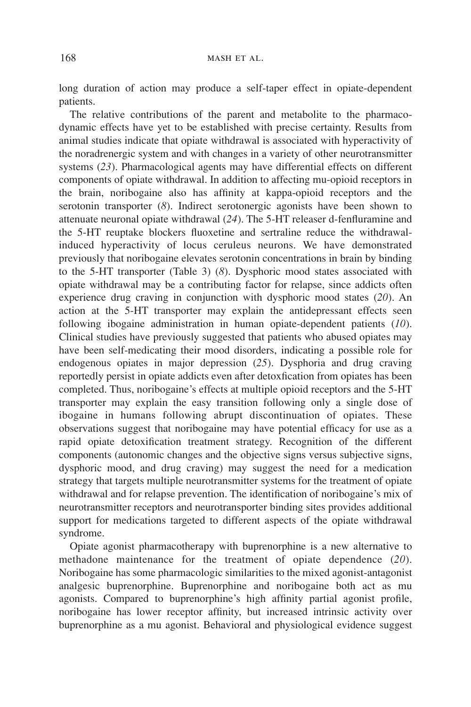long duration of action may produce a self-taper effect in opiate-dependent patients.

The relative contributions of the parent and metabolite to the pharmacodynamic effects have yet to be established with precise certainty. Results from animal studies indicate that opiate withdrawal is associated with hyperactivity of the noradrenergic system and with changes in a variety of other neurotransmitter systems (*23*). Pharmacological agents may have differential effects on different components of opiate withdrawal. In addition to affecting mu-opioid receptors in the brain, noribogaine also has affinity at kappa-opioid receptors and the serotonin transporter (*8*). Indirect serotonergic agonists have been shown to attenuate neuronal opiate withdrawal (*24*). The 5-HT releaser d-fenfluramine and the 5-HT reuptake blockers fluoxetine and sertraline reduce the withdrawalinduced hyperactivity of locus ceruleus neurons. We have demonstrated previously that noribogaine elevates serotonin concentrations in brain by binding to the 5-HT transporter (Table 3) (*8*). Dysphoric mood states associated with opiate withdrawal may be a contributing factor for relapse, since addicts often experience drug craving in conjunction with dysphoric mood states (*20*). An action at the 5-HT transporter may explain the antidepressant effects seen following ibogaine administration in human opiate-dependent patients (*10*). Clinical studies have previously suggested that patients who abused opiates may have been self-medicating their mood disorders, indicating a possible role for endogenous opiates in major depression (*25*). Dysphoria and drug craving reportedly persist in opiate addicts even after detoxfication from opiates has been completed. Thus, noribogaine's effects at multiple opioid receptors and the 5-HT transporter may explain the easy transition following only a single dose of ibogaine in humans following abrupt discontinuation of opiates. These observations suggest that noribogaine may have potential efficacy for use as a rapid opiate detoxification treatment strategy. Recognition of the different components (autonomic changes and the objective signs versus subjective signs, dysphoric mood, and drug craving) may suggest the need for a medication strategy that targets multiple neurotransmitter systems for the treatment of opiate withdrawal and for relapse prevention. The identification of noribogaine's mix of neurotransmitter receptors and neurotransporter binding sites provides additional support for medications targeted to different aspects of the opiate withdrawal syndrome.

Opiate agonist pharmacotherapy with buprenorphine is a new alternative to methadone maintenance for the treatment of opiate dependence (*20*). Noribogaine has some pharmacologic similarities to the mixed agonist-antagonist analgesic buprenorphine. Buprenorphine and noribogaine both act as mu agonists. Compared to buprenorphine's high affinity partial agonist profile, noribogaine has lower receptor affinity, but increased intrinsic activity over buprenorphine as a mu agonist. Behavioral and physiological evidence suggest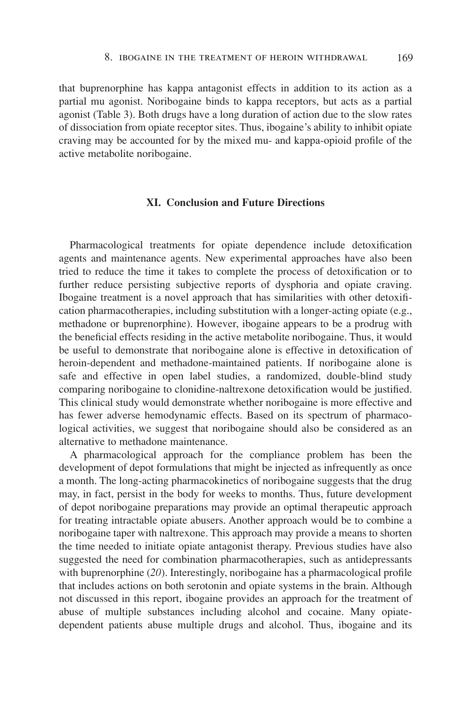that buprenorphine has kappa antagonist effects in addition to its action as a partial mu agonist. Noribogaine binds to kappa receptors, but acts as a partial agonist (Table 3). Both drugs have a long duration of action due to the slow rates of dissociation from opiate receptor sites. Thus, ibogaine's ability to inhibit opiate craving may be accounted for by the mixed mu- and kappa-opioid profile of the active metabolite noribogaine.

#### **XI. Conclusion and Future Directions**

Pharmacological treatments for opiate dependence include detoxification agents and maintenance agents. New experimental approaches have also been tried to reduce the time it takes to complete the process of detoxification or to further reduce persisting subjective reports of dysphoria and opiate craving. Ibogaine treatment is a novel approach that has similarities with other detoxification pharmacotherapies, including substitution with a longer-acting opiate (e.g., methadone or buprenorphine). However, ibogaine appears to be a prodrug with the beneficial effects residing in the active metabolite noribogaine. Thus, it would be useful to demonstrate that noribogaine alone is effective in detoxification of heroin-dependent and methadone-maintained patients. If noribogaine alone is safe and effective in open label studies, a randomized, double-blind study comparing noribogaine to clonidine-naltrexone detoxification would be justified. This clinical study would demonstrate whether noribogaine is more effective and has fewer adverse hemodynamic effects. Based on its spectrum of pharmacological activities, we suggest that noribogaine should also be considered as an alternative to methadone maintenance.

A pharmacological approach for the compliance problem has been the development of depot formulations that might be injected as infrequently as once a month. The long-acting pharmacokinetics of noribogaine suggests that the drug may, in fact, persist in the body for weeks to months. Thus, future development of depot noribogaine preparations may provide an optimal therapeutic approach for treating intractable opiate abusers. Another approach would be to combine a noribogaine taper with naltrexone. This approach may provide a means to shorten the time needed to initiate opiate antagonist therapy. Previous studies have also suggested the need for combination pharmacotherapies, such as antidepressants with buprenorphine (*20*). Interestingly, noribogaine has a pharmacological profile that includes actions on both serotonin and opiate systems in the brain. Although not discussed in this report, ibogaine provides an approach for the treatment of abuse of multiple substances including alcohol and cocaine. Many opiatedependent patients abuse multiple drugs and alcohol. Thus, ibogaine and its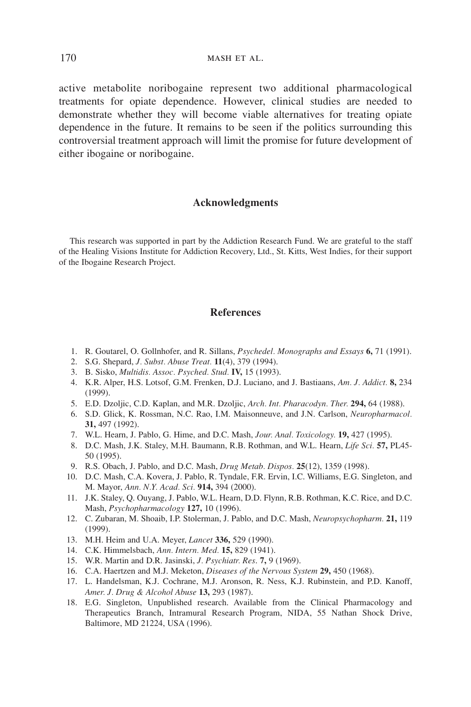active metabolite noribogaine represent two additional pharmacological treatments for opiate dependence. However, clinical studies are needed to demonstrate whether they will become viable alternatives for treating opiate dependence in the future. It remains to be seen if the politics surrounding this controversial treatment approach will limit the promise for future development of either ibogaine or noribogaine.

### **Acknowledgments**

This research was supported in part by the Addiction Research Fund. We are grateful to the staff of the Healing Visions Institute for Addiction Recovery, Ltd., St. Kitts, West Indies, for their support of the Ibogaine Research Project.

### **References**

- 1. R. Goutarel, O. Gollnhofer, and R. Sillans, *Psychedel. Monographs and Essays* **6,** 71 (1991).
- 2. S.G. Shepard, *J. Subst. Abuse Treat.* **11**(4), 379 (1994).
- 3. B. Sisko, *Multidis. Assoc. Psyched. Stud.* **IV,** 15 (1993).
- 4. K.R. Alper, H.S. Lotsof, G.M. Frenken, D.J. Luciano, and J. Bastiaans, *Am. J. Addict.* **8,** 234 (1999).
- 5. E.D. Dzoljic, C.D. Kaplan, and M.R. Dzoljic, *Arch. Int. Pharacodyn. Ther.* **294,** 64 (1988).
- 6. S.D. Glick, K. Rossman, N.C. Rao, I.M. Maisonneuve, and J.N. Carlson, *Neuropharmacol.* **31,** 497 (1992).
- 7. W.L. Hearn, J. Pablo, G. Hime, and D.C. Mash, *Jour. Anal. Toxicology.* **19,** 427 (1995).
- 8. D.C. Mash, J.K. Staley, M.H. Baumann, R.B. Rothman, and W.L. Hearn, *Life Sci.* **57,** PL45- 50 (1995).
- 9. R.S. Obach, J. Pablo, and D.C. Mash, *Drug Metab. Dispos.* **25**(12), 1359 (1998).
- 10. D.C. Mash, C.A. Kovera, J. Pablo, R. Tyndale, F.R. Ervin, I.C. Williams, E.G. Singleton, and M. Mayor, *Ann. N.Y. Acad. Sci.* **914,** 394 (2000).
- 11. J.K. Staley, Q. Ouyang, J. Pablo, W.L. Hearn, D.D. Flynn, R.B. Rothman, K.C. Rice, and D.C. Mash, *Psychopharmacology* **127,** 10 (1996).
- 12. C. Zubaran, M. Shoaib, I.P. Stolerman, J. Pablo, and D.C. Mash, *Neuropsychopharm.* **21,** 119 (1999).
- 13. M.H. Heim and U.A. Meyer, *Lancet* **336,** 529 (1990).
- 14. C.K. Himmelsbach, *Ann. Intern. Med.* **15,** 829 (1941).
- 15. W.R. Martin and D.R. Jasinski, *J. Psychiatr. Res*. **7,** 9 (1969).
- 16. C.A. Haertzen and M.J. Meketon, *Diseases of the Nervous System* **29,** 450 (1968).
- 17. L. Handelsman, K.J. Cochrane, M.J. Aronson, R. Ness, K.J. Rubinstein, and P.D. Kanoff, *Amer. J. Drug & Alcohol Abuse* **13,** 293 (1987).
- 18. E.G. Singleton, Unpublished research. Available from the Clinical Pharmacology and Therapeutics Branch, Intramural Research Program, NIDA, 55 Nathan Shock Drive, Baltimore, MD 21224, USA (1996).